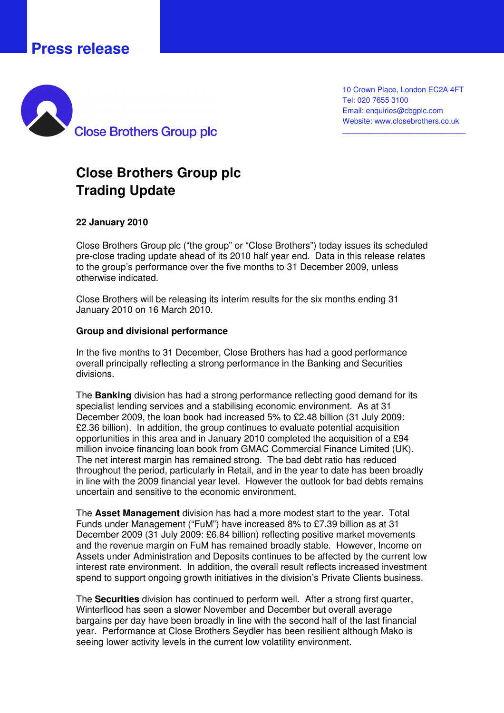# **Press release**



10 Crown Place, London EC2A 4FT Tel: 020 7655 3100 Email: enquiries@cbgplc.com Website: www.closebrothers.co.uk

\_\_\_\_\_\_\_\_\_\_\_\_\_\_\_\_\_\_\_\_\_\_\_\_\_\_\_\_\_

# **Close Brothers Group plc Trading Update**

### **22 January 2010**

Close Brothers Group plc ("the group" or "Close Brothers") today issues its scheduled pre-close trading update ahead of its 2010 half year end. Data in this release relates to the group's performance over the five months to 31 December 2009, unless otherwise indicated.

Close Brothers will be releasing its interim results for the six months ending 31 January 2010 on 16 March 2010.

#### **Group and divisional performance**

In the five months to 31 December, Close Brothers has had a good performance overall principally reflecting a strong performance in the Banking and Securities divisions.

The **Banking** division has had a strong performance reflecting good demand for its specialist lending services and a stabilising economic environment. As at 31 December 2009, the loan book had increased 5% to £2.48 billion (31 July 2009: £2.36 billion). In addition, the group continues to evaluate potential acquisition opportunities in this area and in January 2010 completed the acquisition of a £94 million invoice financing loan book from GMAC Commercial Finance Limited (UK). The net interest margin has remained strong. The bad debt ratio has reduced throughout the period, particularly in Retail, and in the year to date has been broadly in line with the 2009 financial year level. However the outlook for bad debts remains uncertain and sensitive to the economic environment.

The **Asset Management** division has had a more modest start to the year. Total Funds under Management ("FuM") have increased 8% to £7.39 billion as at 31 December 2009 (31 July 2009: £6.84 billion) reflecting positive market movements and the revenue margin on FuM has remained broadly stable. However, Income on Assets under Administration and Deposits continues to be affected by the current low interest rate environment. In addition, the overall result reflects increased investment spend to support ongoing growth initiatives in the division's Private Clients business.

The **Securities** division has continued to perform well. After a strong first quarter, Winterflood has seen a slower November and December but overall average bargains per day have been broadly in line with the second half of the last financial year. Performance at Close Brothers Seydler has been resilient although Mako is seeing lower activity levels in the current low volatility environment.